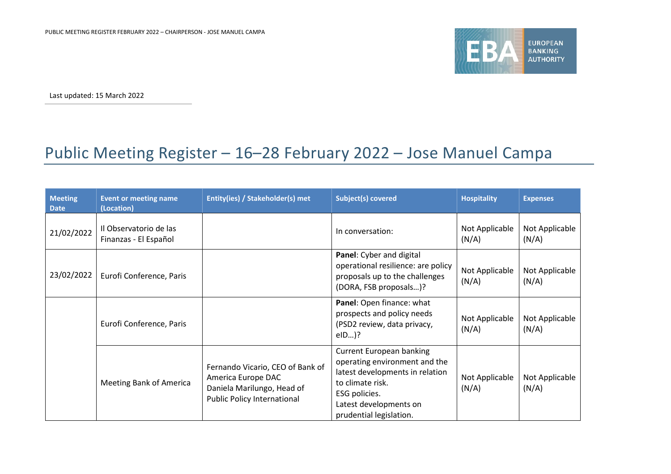

Last updated: 15 March 2022

## Public Meeting Register – 16–28 February 2022 – Jose Manuel Campa

| <b>Meeting</b><br><b>Date</b> | <b>Event or meeting name</b><br>(Location)      | Entity(ies) / Stakeholder(s) met                                                                                           | <b>Subject(s) covered</b>                                                                                                                                                                     | <b>Hospitality</b>      | <b>Expenses</b>         |
|-------------------------------|-------------------------------------------------|----------------------------------------------------------------------------------------------------------------------------|-----------------------------------------------------------------------------------------------------------------------------------------------------------------------------------------------|-------------------------|-------------------------|
| 21/02/2022                    | Il Observatorio de las<br>Finanzas - El Español |                                                                                                                            | In conversation:                                                                                                                                                                              | Not Applicable<br>(N/A) | Not Applicable<br>(N/A) |
| 23/02/2022                    | Eurofi Conference, Paris                        |                                                                                                                            | Panel: Cyber and digital<br>operational resilience: are policy<br>proposals up to the challenges<br>(DORA, FSB proposals)?                                                                    | Not Applicable<br>(N/A) | Not Applicable<br>(N/A) |
|                               | Eurofi Conference, Paris                        |                                                                                                                            | Panel: Open finance: what<br>prospects and policy needs<br>(PSD2 review, data privacy,<br>$elD$ )?                                                                                            | Not Applicable<br>(N/A) | Not Applicable<br>(N/A) |
|                               | <b>Meeting Bank of America</b>                  | Fernando Vicario, CEO of Bank of<br>America Europe DAC<br>Daniela Marilungo, Head of<br><b>Public Policy International</b> | <b>Current European banking</b><br>operating environment and the<br>latest developments in relation<br>to climate risk.<br>ESG policies.<br>Latest developments on<br>prudential legislation. | Not Applicable<br>(N/A) | Not Applicable<br>(N/A) |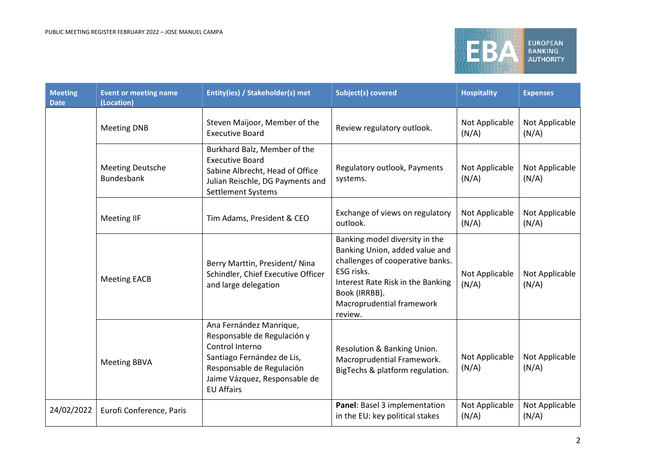

| <b>Meeting</b><br><b>Date</b> | <b>Event or meeting name</b><br>(Location) | Entity(ies) / Stakeholder(s) met                                                                                                                                                           | <b>Subject(s) covered</b>                                                                                                                                                                                        | <b>Hospitality</b>      | <b>Expenses</b>         |
|-------------------------------|--------------------------------------------|--------------------------------------------------------------------------------------------------------------------------------------------------------------------------------------------|------------------------------------------------------------------------------------------------------------------------------------------------------------------------------------------------------------------|-------------------------|-------------------------|
|                               | <b>Meeting DNB</b>                         | Steven Maijoor, Member of the<br><b>Executive Board</b>                                                                                                                                    | Review regulatory outlook.                                                                                                                                                                                       | Not Applicable<br>(N/A) | Not Applicable<br>(N/A) |
|                               | <b>Meeting Deutsche</b><br>Bundesbank      | Burkhard Balz, Member of the<br><b>Executive Board</b><br>Sabine Albrecht, Head of Office<br>Julian Reischle, DG Payments and<br><b>Settlement Systems</b>                                 | Regulatory outlook, Payments<br>systems.                                                                                                                                                                         | Not Applicable<br>(N/A) | Not Applicable<br>(N/A) |
|                               | <b>Meeting IIF</b>                         | Tim Adams, President & CEO                                                                                                                                                                 | Exchange of views on regulatory<br>outlook.                                                                                                                                                                      | Not Applicable<br>(N/A) | Not Applicable<br>(N/A) |
|                               | <b>Meeting EACB</b>                        | Berry Marttin, President/ Nina<br>Schindler, Chief Executive Officer<br>and large delegation                                                                                               | Banking model diversity in the<br>Banking Union, added value and<br>challenges of cooperative banks.<br>ESG risks.<br>Interest Rate Risk in the Banking<br>Book (IRRBB).<br>Macroprudential framework<br>review. | Not Applicable<br>(N/A) | Not Applicable<br>(N/A) |
|                               | <b>Meeting BBVA</b>                        | Ana Fernández Manrique,<br>Responsable de Regulación y<br>Control Interno<br>Santiago Fernández de Lis,<br>Responsable de Regulación<br>Jaime Vázquez, Responsable de<br><b>EU Affairs</b> | Resolution & Banking Union.<br>Macroprudential Framework.<br>BigTechs & platform regulation.                                                                                                                     | Not Applicable<br>(N/A) | Not Applicable<br>(N/A) |
| 24/02/2022                    | Eurofi Conference, Paris                   |                                                                                                                                                                                            | Panel: Basel 3 implementation<br>in the EU: key political stakes                                                                                                                                                 | Not Applicable<br>(N/A) | Not Applicable<br>(N/A) |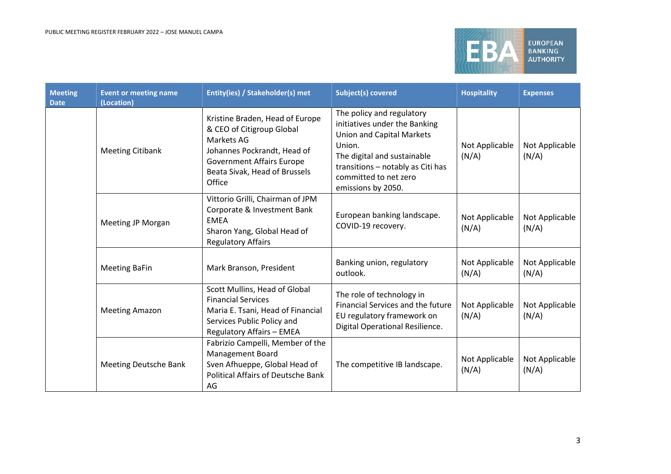

| <b>Meeting</b><br><b>Date</b> | <b>Event or meeting name</b><br>(Location) | <b>Entity(ies) / Stakeholder(s) met</b>                                                                                                                                                  | <b>Subject(s) covered</b>                                                                                                                                                                                                   | <b>Hospitality</b>      | <b>Expenses</b>         |
|-------------------------------|--------------------------------------------|------------------------------------------------------------------------------------------------------------------------------------------------------------------------------------------|-----------------------------------------------------------------------------------------------------------------------------------------------------------------------------------------------------------------------------|-------------------------|-------------------------|
|                               | <b>Meeting Citibank</b>                    | Kristine Braden, Head of Europe<br>& CEO of Citigroup Global<br>Markets AG<br>Johannes Pockrandt, Head of<br><b>Government Affairs Europe</b><br>Beata Sivak, Head of Brussels<br>Office | The policy and regulatory<br>initiatives under the Banking<br><b>Union and Capital Markets</b><br>Union.<br>The digital and sustainable<br>transitions - notably as Citi has<br>committed to net zero<br>emissions by 2050. | Not Applicable<br>(N/A) | Not Applicable<br>(N/A) |
|                               | <b>Meeting JP Morgan</b>                   | Vittorio Grilli, Chairman of JPM<br>Corporate & Investment Bank<br><b>EMEA</b><br>Sharon Yang, Global Head of<br><b>Regulatory Affairs</b>                                               | European banking landscape.<br>COVID-19 recovery.                                                                                                                                                                           | Not Applicable<br>(N/A) | Not Applicable<br>(N/A) |
|                               | <b>Meeting BaFin</b>                       | Mark Branson, President                                                                                                                                                                  | Banking union, regulatory<br>outlook.                                                                                                                                                                                       | Not Applicable<br>(N/A) | Not Applicable<br>(N/A) |
|                               | <b>Meeting Amazon</b>                      | Scott Mullins, Head of Global<br><b>Financial Services</b><br>Maria E. Tsani, Head of Financial<br>Services Public Policy and<br><b>Regulatory Affairs - EMEA</b>                        | The role of technology in<br>Financial Services and the future<br>EU regulatory framework on<br>Digital Operational Resilience.                                                                                             | Not Applicable<br>(N/A) | Not Applicable<br>(N/A) |
|                               | <b>Meeting Deutsche Bank</b>               | Fabrizio Campelli, Member of the<br><b>Management Board</b><br>Sven Afhueppe, Global Head of<br><b>Political Affairs of Deutsche Bank</b><br>AG                                          | The competitive IB landscape.                                                                                                                                                                                               | Not Applicable<br>(N/A) | Not Applicable<br>(N/A) |